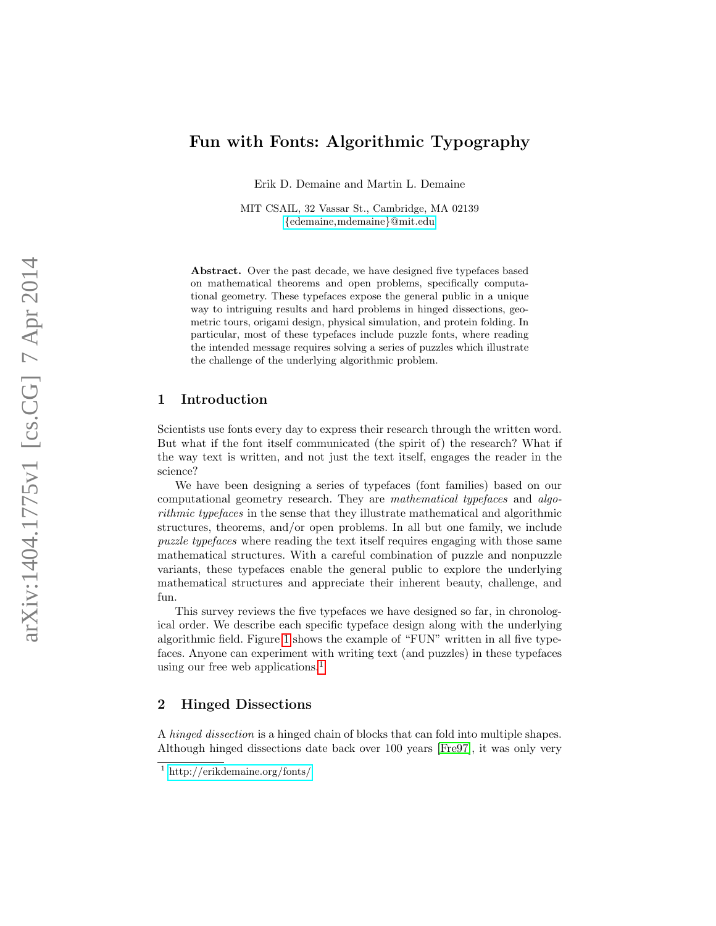# Fun with Fonts: Algorithmic Typography

Erik D. Demaine and Martin L. Demaine

MIT CSAIL, 32 Vassar St., Cambridge, MA 02139 {[edemaine,mdemaine]({edemaine,mdemaine}@mit.edu)}@mit.edu

Abstract. Over the past decade, we have designed five typefaces based on mathematical theorems and open problems, specifically computational geometry. These typefaces expose the general public in a unique way to intriguing results and hard problems in hinged dissections, geometric tours, origami design, physical simulation, and protein folding. In particular, most of these typefaces include puzzle fonts, where reading the intended message requires solving a series of puzzles which illustrate the challenge of the underlying algorithmic problem.

#### 1 Introduction

Scientists use fonts every day to express their research through the written word. But what if the font itself communicated (the spirit of) the research? What if the way text is written, and not just the text itself, engages the reader in the science?

We have been designing a series of typefaces (font families) based on our computational geometry research. They are mathematical typefaces and algorithmic typefaces in the sense that they illustrate mathematical and algorithmic structures, theorems, and/or open problems. In all but one family, we include puzzle typefaces where reading the text itself requires engaging with those same mathematical structures. With a careful combination of puzzle and nonpuzzle variants, these typefaces enable the general public to explore the underlying mathematical structures and appreciate their inherent beauty, challenge, and fun.

This survey reviews the five typefaces we have designed so far, in chronological order. We describe each specific typeface design along with the underlying algorithmic field. Figure [1](#page-1-0) shows the example of "FUN" written in all five typefaces. Anyone can experiment with writing text (and puzzles) in these typefaces using our free web applications.<sup>[1](#page-0-0)</sup>

#### 2 Hinged Dissections

A hinged dissection is a hinged chain of blocks that can fold into multiple shapes. Although hinged dissections date back over 100 years [\[Fre97\]](#page-11-0), it was only very

<span id="page-0-0"></span><sup>1</sup> <http://erikdemaine.org/fonts/>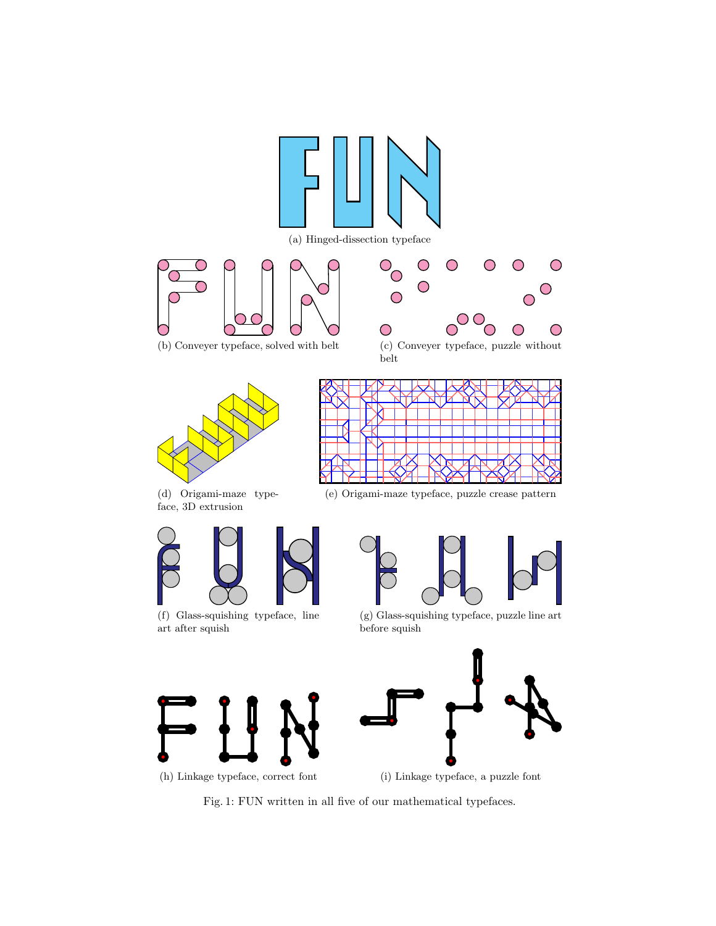<span id="page-1-0"></span>





(d) Origami-maze typeface, 3D extrusion



(f) Glass-squishing typeface, line art after squish

(e) Origami-maze typeface, puzzle crease pattern



(g) Glass-squishing typeface, puzzle line art before squish



(h) Linkage typeface, correct font (i) Linkage typeface, a puzzle font

Fig. 1: FUN written in all five of our mathematical typefaces.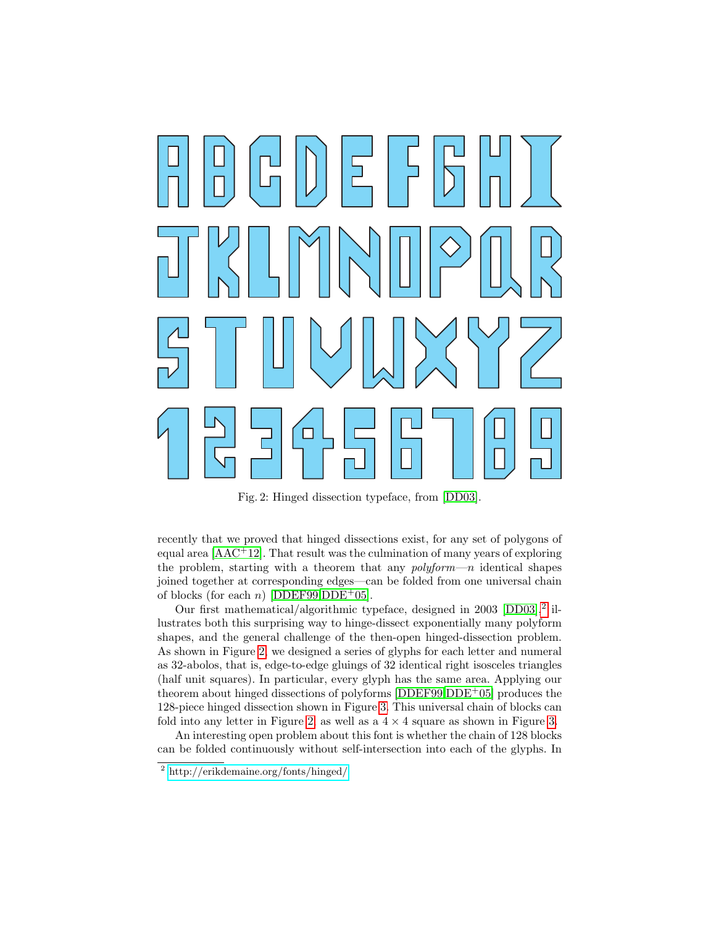<span id="page-2-1"></span>

Fig. 2: Hinged dissection typeface, from [\[DD03\]](#page-11-1).

recently that we proved that hinged dissections exist, for any set of polygons of equal area  $[AAC+12]$  $[AAC+12]$ . That result was the culmination of many years of exploring the problem, starting with a theorem that any *polyform—n* identical shapes joined together at corresponding edges—can be folded from one universal chain of blocks (for each *n*) [\[DDEF99](#page-11-3)[,DDE](#page-11-4)<sup>+</sup>05].

Our first mathematical/algorithmic typeface, designed in [2](#page-2-0)003  $[DD03]$ ,<sup>2</sup> illustrates both this surprising way to hinge-dissect exponentially many polyform shapes, and the general challenge of the then-open hinged-dissection problem. As shown in Figure [2,](#page-2-1) we designed a series of glyphs for each letter and numeral as 32-abolos, that is, edge-to-edge gluings of 32 identical right isosceles triangles (half unit squares). In particular, every glyph has the same area. Applying our theorem about hinged dissections of polyforms [\[DDEF99,](#page-11-3)[DDE](#page-11-4)<sup>+</sup>05] produces the 128-piece hinged dissection shown in Figure [3.](#page-3-0) This universal chain of blocks can fold into any letter in Figure [2,](#page-2-1) as well as a  $4 \times 4$  square as shown in Figure [3.](#page-3-0)

An interesting open problem about this font is whether the chain of 128 blocks can be folded continuously without self-intersection into each of the glyphs. In

<span id="page-2-0"></span><sup>2</sup> <http://erikdemaine.org/fonts/hinged/>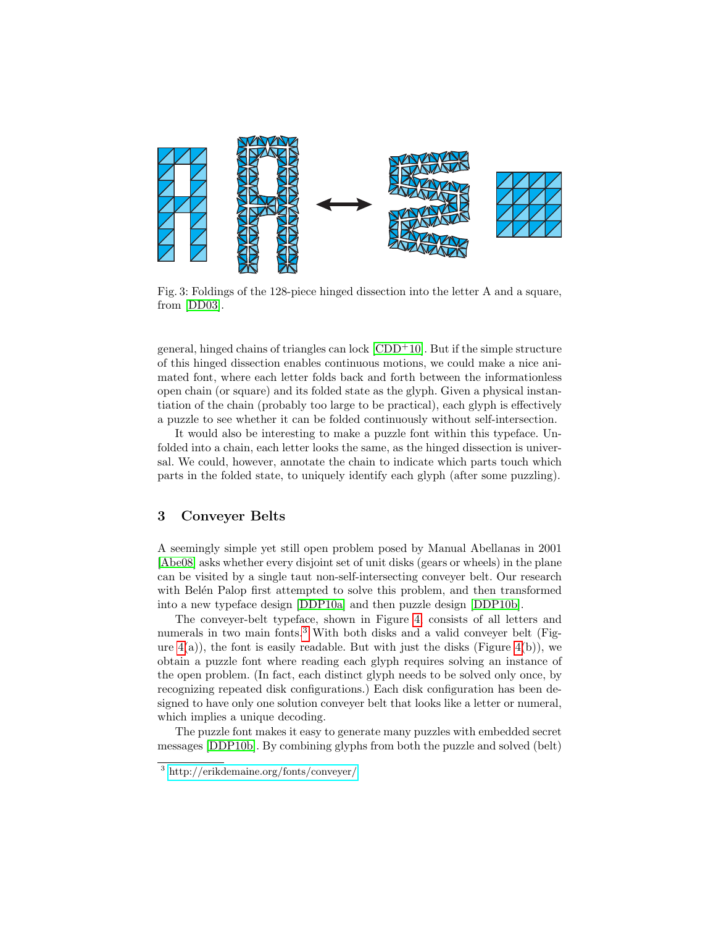<span id="page-3-0"></span>

Fig. 3: Foldings of the 128-piece hinged dissection into the letter A and a square, from [\[DD03\]](#page-11-1).

general, hinged chains of triangles can lock  $[CDD+10]$  $[CDD+10]$ . But if the simple structure of this hinged dissection enables continuous motions, we could make a nice animated font, where each letter folds back and forth between the informationless open chain (or square) and its folded state as the glyph. Given a physical instantiation of the chain (probably too large to be practical), each glyph is effectively a puzzle to see whether it can be folded continuously without self-intersection.

It would also be interesting to make a puzzle font within this typeface. Unfolded into a chain, each letter looks the same, as the hinged dissection is universal. We could, however, annotate the chain to indicate which parts touch which parts in the folded state, to uniquely identify each glyph (after some puzzling).

### 3 Conveyer Belts

A seemingly simple yet still open problem posed by Manual Abellanas in 2001 [\[Abe08\]](#page-11-6) asks whether every disjoint set of unit disks (gears or wheels) in the plane can be visited by a single taut non-self-intersecting conveyer belt. Our research with Belén Palop first attempted to solve this problem, and then transformed into a new typeface design [\[DDP10a\]](#page-11-7) and then puzzle design [\[DDP10b\]](#page-11-8).

The conveyer-belt typeface, shown in Figure [4,](#page-4-0) consists of all letters and numerals in two main fonts.<sup>[3](#page-3-1)</sup> With both disks and a valid conveyer belt (Figure  $4(a)$ , the font is easily readable. But with just the disks (Figure  $4(b)$ ), we obtain a puzzle font where reading each glyph requires solving an instance of the open problem. (In fact, each distinct glyph needs to be solved only once, by recognizing repeated disk configurations.) Each disk configuration has been designed to have only one solution conveyer belt that looks like a letter or numeral, which implies a unique decoding.

The puzzle font makes it easy to generate many puzzles with embedded secret messages [\[DDP10b\]](#page-11-8). By combining glyphs from both the puzzle and solved (belt)

<span id="page-3-1"></span><sup>3</sup> <http://erikdemaine.org/fonts/conveyer/>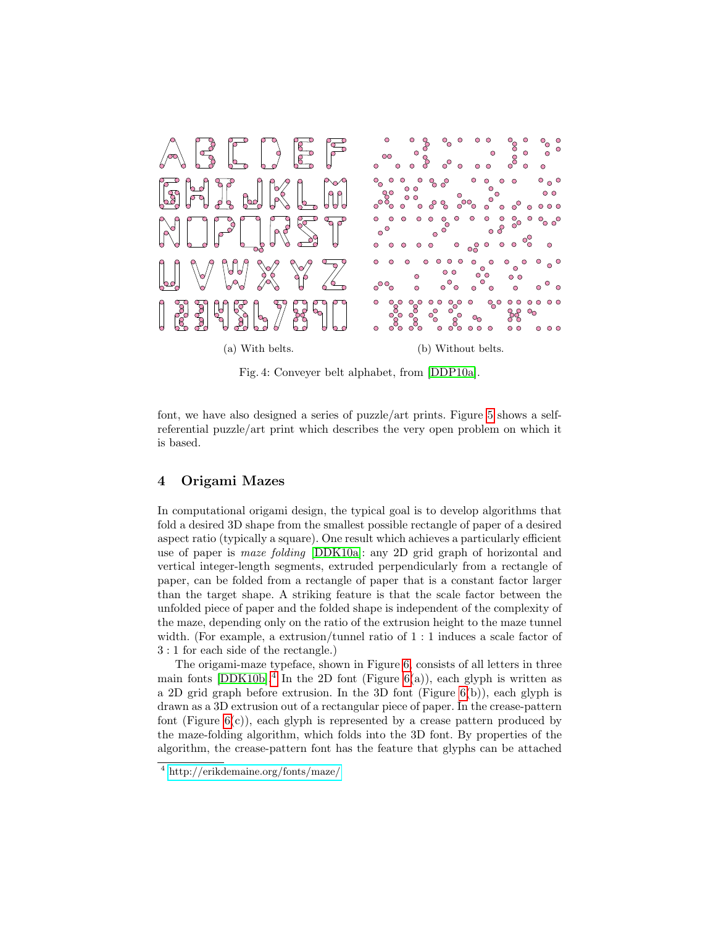<span id="page-4-0"></span>

Fig. 4: Conveyer belt alphabet, from [\[DDP10a\]](#page-11-7).

font, we have also designed a series of puzzle/art prints. Figure [5](#page-5-0) shows a selfreferential puzzle/art print which describes the very open problem on which it is based.

#### 4 Origami Mazes

In computational origami design, the typical goal is to develop algorithms that fold a desired 3D shape from the smallest possible rectangle of paper of a desired aspect ratio (typically a square). One result which achieves a particularly efficient use of paper is maze folding [\[DDK10a\]](#page-11-9): any 2D grid graph of horizontal and vertical integer-length segments, extruded perpendicularly from a rectangle of paper, can be folded from a rectangle of paper that is a constant factor larger than the target shape. A striking feature is that the scale factor between the unfolded piece of paper and the folded shape is independent of the complexity of the maze, depending only on the ratio of the extrusion height to the maze tunnel width. (For example, a extrusion/tunnel ratio of 1 : 1 induces a scale factor of 3 : 1 for each side of the rectangle.)

The origami-maze typeface, shown in Figure [6,](#page-6-0) consists of all letters in three main fonts  $[DDK10b]$ <sup>[4](#page-4-1)</sup> In the 2D font (Figure [6\(](#page-6-0)a)), each glyph is written as a 2D grid graph before extrusion. In the 3D font (Figure [6\(](#page-6-0)b)), each glyph is drawn as a 3D extrusion out of a rectangular piece of paper. In the crease-pattern font (Figure  $6(c)$ ), each glyph is represented by a crease pattern produced by the maze-folding algorithm, which folds into the 3D font. By properties of the algorithm, the crease-pattern font has the feature that glyphs can be attached

<span id="page-4-1"></span><sup>4</sup> <http://erikdemaine.org/fonts/maze/>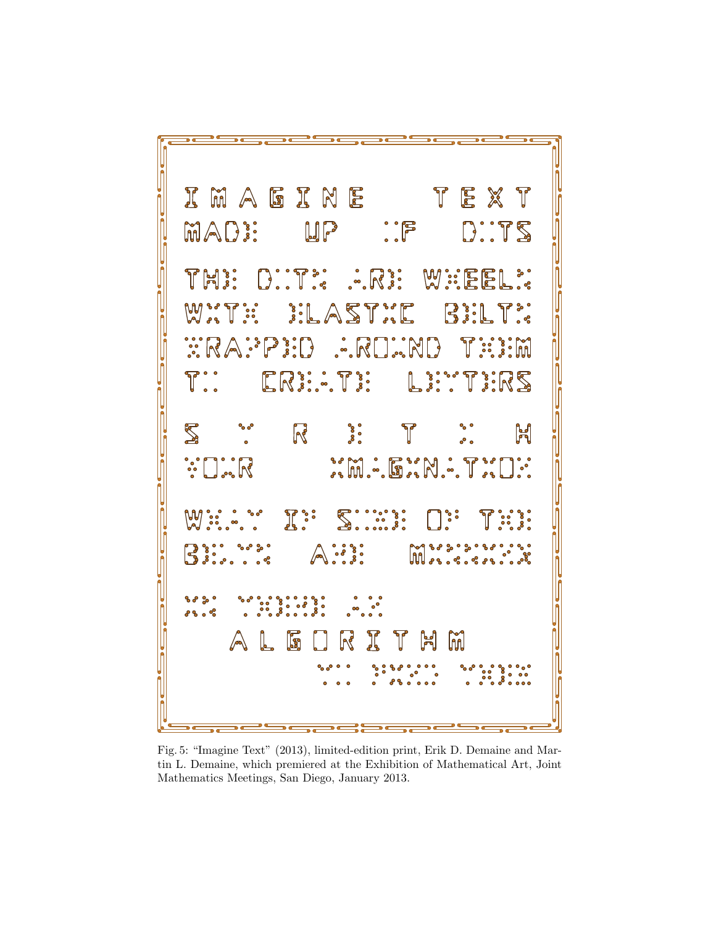<span id="page-5-0"></span>

| IMAGINE TEXT                |  |
|-----------------------------|--|
| MAD:: UP :: F D::TS         |  |
| THE DITE ARE WHEEL?         |  |
| WATH HASTAE BHLTH           |  |
| ERAPED ARDAND THEM          |  |
| T : CRI : TI: LI : TIRS     |  |
| $\sum_{i=1}^n$<br>R : T : H |  |
| <b>WEIGHT MENTION</b>       |  |
|                             |  |
|                             |  |
| <b>Billions</b>             |  |
|                             |  |
| ALGORITHM                   |  |
|                             |  |
|                             |  |

Fig. 5: "Imagine Text" (2013), limited-edition print, Erik D. Demaine and Martin L. Demaine, which premiered at the Exhibition of Mathematical Art, Joint Mathematics Meetings, San Diego, January 2013.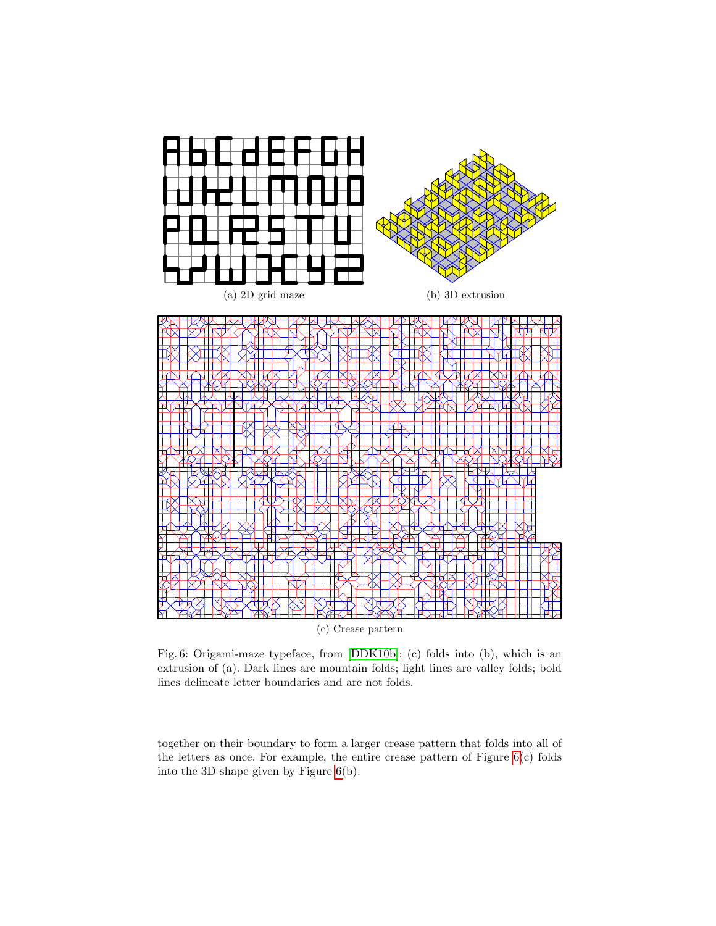<span id="page-6-0"></span>

Fig. 6: Origami-maze typeface, from [\[DDK10b\]](#page-11-10): (c) folds into (b), which is an extrusion of (a). Dark lines are mountain folds; light lines are valley folds; bold lines delineate letter boundaries and are not folds.

together on their boundary to form a larger crease pattern that folds into all of the letters as once. For example, the entire crease pattern of Figure [6\(](#page-6-0)c) folds into the 3D shape given by Figure [6\(](#page-6-0)b).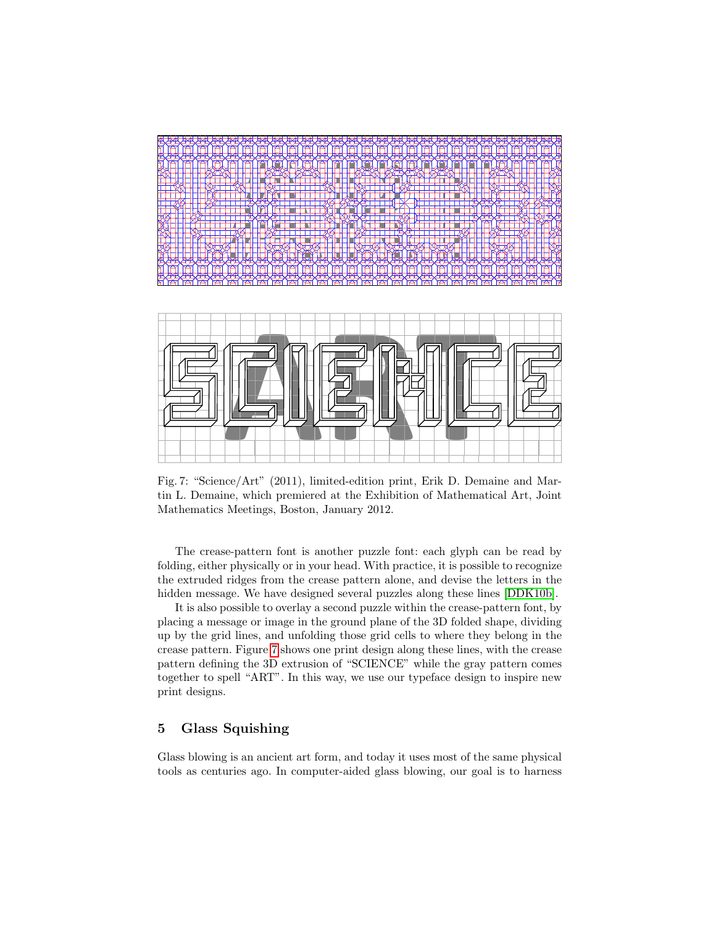<span id="page-7-0"></span>



tin L. Demaine, which premiered at the Exhibition of Mathematical Art, Joint Mathematics Meetings, Boston, January 2012.

The crease-pattern font is another puzzle font: each glyph can be read by folding, either physically or in your head. With practice, it is possible to recognize the extruded ridges from the crease pattern alone, and devise the letters in the hidden message. We have designed several puzzles along these lines [\[DDK10b\]](#page-11-10).

It is also possible to overlay a second puzzle within the crease-pattern font, by placing a message or image in the ground plane of the 3D folded shape, dividing up by the grid lines, and unfolding those grid cells to where they belong in the crease pattern. Figure [7](#page-7-0) shows one print design along these lines, with the crease pattern defining the 3D extrusion of "SCIENCE" while the gray pattern comes together to spell "ART". In this way, we use our typeface design to inspire new print designs.

#### 5 Glass Squishing

Glass blowing is an ancient art form, and today it uses most of the same physical tools as centuries ago. In computer-aided glass blowing, our goal is to harness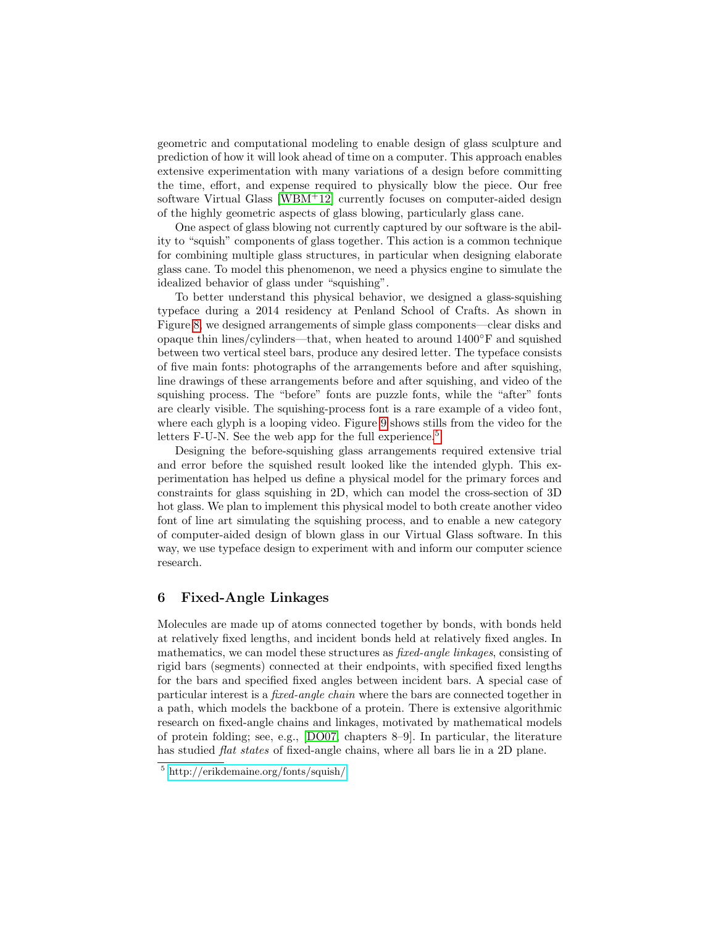geometric and computational modeling to enable design of glass sculpture and prediction of how it will look ahead of time on a computer. This approach enables extensive experimentation with many variations of a design before committing the time, effort, and expense required to physically blow the piece. Our free software Virtual Glass [\[WBM](#page-11-11)<sup>+</sup>12] currently focuses on computer-aided design of the highly geometric aspects of glass blowing, particularly glass cane.

One aspect of glass blowing not currently captured by our software is the ability to "squish" components of glass together. This action is a common technique for combining multiple glass structures, in particular when designing elaborate glass cane. To model this phenomenon, we need a physics engine to simulate the idealized behavior of glass under "squishing".

To better understand this physical behavior, we designed a glass-squishing typeface during a 2014 residency at Penland School of Crafts. As shown in Figure [8,](#page-9-0) we designed arrangements of simple glass components—clear disks and opaque thin lines/cylinders—that, when heated to around  $1400°$ F and squished between two vertical steel bars, produce any desired letter. The typeface consists of five main fonts: photographs of the arrangements before and after squishing, line drawings of these arrangements before and after squishing, and video of the squishing process. The "before" fonts are puzzle fonts, while the "after" fonts are clearly visible. The squishing-process font is a rare example of a video font, where each glyph is a looping video. Figure [9](#page-9-1) shows stills from the video for the letters F-U-N. See the web app for the full experience.<sup>[5](#page-8-0)</sup>

Designing the before-squishing glass arrangements required extensive trial and error before the squished result looked like the intended glyph. This experimentation has helped us define a physical model for the primary forces and constraints for glass squishing in 2D, which can model the cross-section of 3D hot glass. We plan to implement this physical model to both create another video font of line art simulating the squishing process, and to enable a new category of computer-aided design of blown glass in our Virtual Glass software. In this way, we use typeface design to experiment with and inform our computer science research.

## 6 Fixed-Angle Linkages

Molecules are made up of atoms connected together by bonds, with bonds held at relatively fixed lengths, and incident bonds held at relatively fixed angles. In mathematics, we can model these structures as *fixed-angle linkages*, consisting of rigid bars (segments) connected at their endpoints, with specified fixed lengths for the bars and specified fixed angles between incident bars. A special case of particular interest is a fixed-angle chain where the bars are connected together in a path, which models the backbone of a protein. There is extensive algorithmic research on fixed-angle chains and linkages, motivated by mathematical models of protein folding; see, e.g., [\[DO07,](#page-11-12) chapters 8–9]. In particular, the literature has studied *flat states* of fixed-angle chains, where all bars lie in a 2D plane.

<span id="page-8-0"></span><sup>5</sup> <http://erikdemaine.org/fonts/squish/>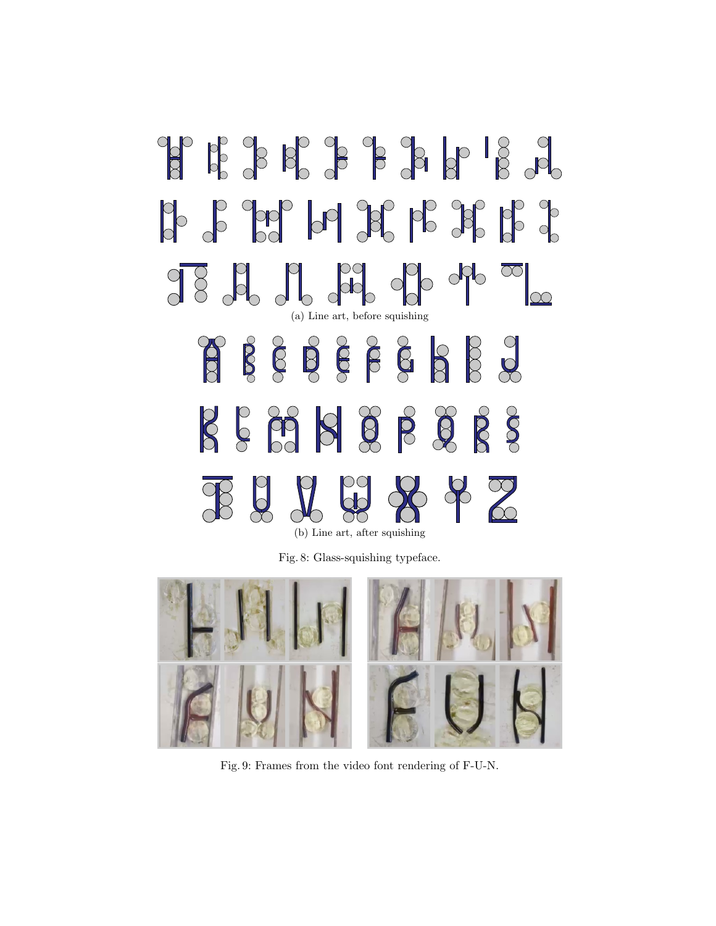<span id="page-9-0"></span>

Fig. 8: Glass-squishing typeface.

<span id="page-9-1"></span>

Fig. 9: Frames from the video font rendering of F-U-N.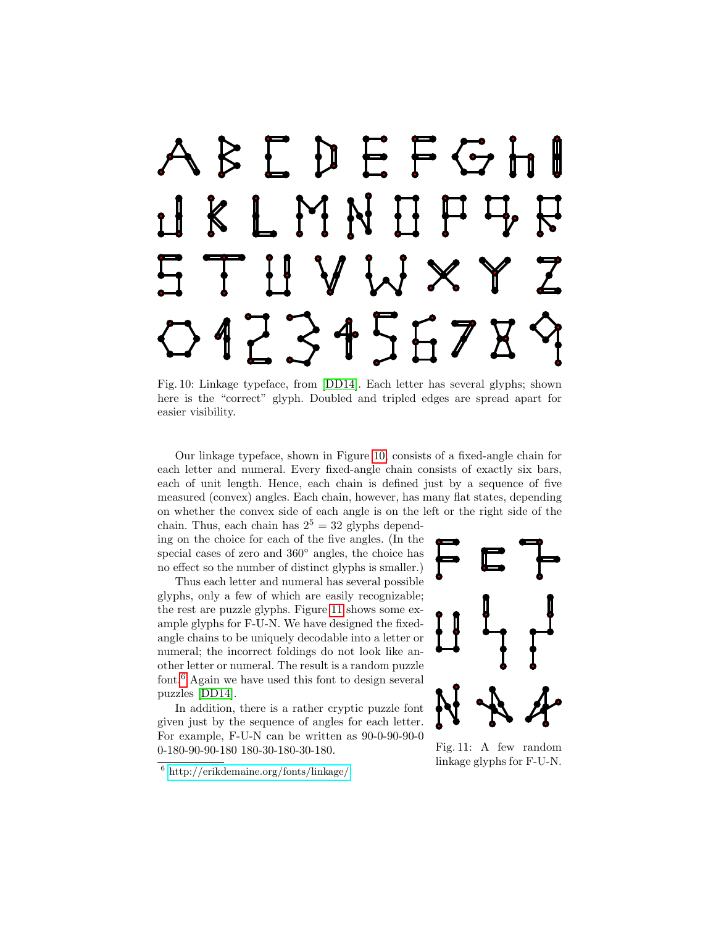<span id="page-10-0"></span>

Fig. 10: Linkage typeface, from [\[DD14\]](#page-11-13). Each letter has several glyphs; shown here is the "correct" glyph. Doubled and tripled edges are spread apart for easier visibility.

Our linkage typeface, shown in Figure [10,](#page-10-0) consists of a fixed-angle chain for each letter and numeral. Every fixed-angle chain consists of exactly six bars, each of unit length. Hence, each chain is defined just by a sequence of five measured (convex) angles. Each chain, however, has many flat states, depending on whether the convex side of each angle is on the left or the right side of the

chain. Thus, each chain has  $2^5 = 32$  glyphs depending on the choice for each of the five angles. (In the special cases of zero and  $360°$  angles, the choice has no effect so the number of distinct glyphs is smaller.)

Thus each letter and numeral has several possible glyphs, only a few of which are easily recognizable; the rest are puzzle glyphs. Figure [11](#page-10-1) shows some example glyphs for F-U-N. We have designed the fixedangle chains to be uniquely decodable into a letter or numeral; the incorrect foldings do not look like another letter or numeral. The result is a random puzzle font.[6](#page-10-2) Again we have used this font to design several puzzles [\[DD14\]](#page-11-13).

In addition, there is a rather cryptic puzzle font given just by the sequence of angles for each letter. For example, F-U-N can be written as 90-0-90-90-0 0-180-90-90-180 180-30-180-30-180.

<span id="page-10-1"></span>

Fig. 11: A few random linkage glyphs for F-U-N.

<span id="page-10-2"></span><sup>6</sup> <http://erikdemaine.org/fonts/linkage/>